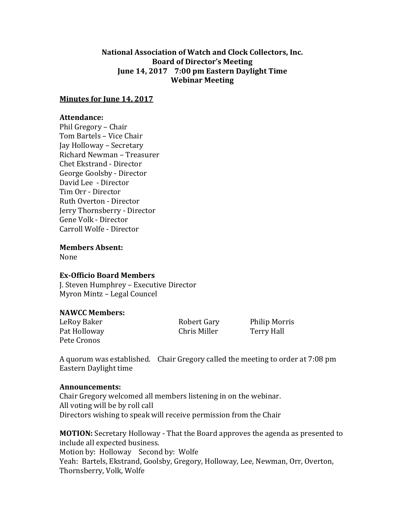# **National Association of Watch and Clock Collectors, Inc. Board of Director's Meeting June 14, 2017 7:00 pm Eastern Daylight Time Webinar Meeting**

# **Minutes for June 14, 2017**

## **Attendance:**

Phil Gregory – Chair Tom Bartels – Vice Chair Jay Holloway – Secretary Richard Newman – Treasurer Chet Ekstrand - Director George Goolsby - Director David Lee - Director Tim Orr - Director Ruth Overton - Director Jerry Thornsberry - Director Gene Volk - Director Carroll Wolfe - Director

**Members Absent:**

None

#### **Ex-Officio Board Members**

J. Steven Humphrey – Executive Director Myron Mintz – Legal Councel

## **NAWCC Members:**

LeRoy Baker **Robert Gary** Philip Morris Pat Holloway **Chris Miller** Terry Hall Pete Cronos

A quorum was established. Chair Gregory called the meeting to order at 7:08 pm Eastern Daylight time

#### **Announcements:**

Chair Gregory welcomed all members listening in on the webinar. All voting will be by roll call Directors wishing to speak will receive permission from the Chair

**MOTION:** Secretary Holloway - That the Board approves the agenda as presented to include all expected business. Motion by: Holloway Second by: Wolfe Yeah: Bartels, Ekstrand, Goolsby, Gregory, Holloway, Lee, Newman, Orr, Overton, Thornsberry, Volk, Wolfe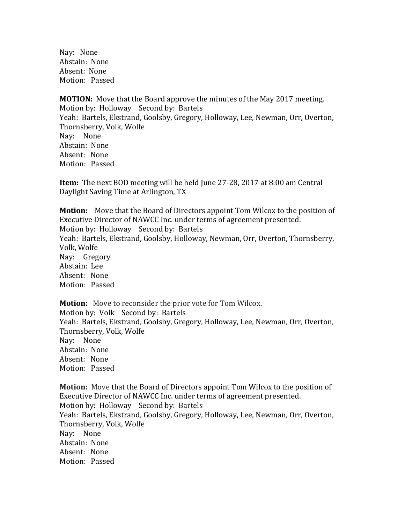Nay: None Abstain: None Absent: None Motion: Passed

**MOTION:** Move that the Board approve the minutes of the May 2017 meeting. Motion by: Holloway Second by: Bartels Yeah: Bartels, Ekstrand, Goolsby, Gregory, Holloway, Lee, Newman, Orr, Overton, Thornsberry, Volk, Wolfe Nay: None Abstain: None Absent: None Motion: Passed

**Item:** The next BOD meeting will be held June 27-28, 2017 at 8:00 am Central Daylight Saving Time at Arlington, TX

**Motion:** Move that the Board of Directors appoint Tom Wilcox to the position of Executive Director of NAWCC Inc. under terms of agreement presented. Motion by: Holloway Second by: Bartels Yeah: Bartels, Ekstrand, Goolsby, Holloway, Newman, Orr, Overton, Thornsberry, Volk, Wolfe Nay: Gregory Abstain: Lee Absent: None Motion: Passed

**Motion:** Move to reconsider the prior vote for Tom Wilcox. Motion by: Volk Second by: Bartels Yeah: Bartels, Ekstrand, Goolsby, Gregory, Holloway, Lee, Newman, Orr, Overton, Thornsberry, Volk, Wolfe Nay: None Abstain: None Absent: None Motion: Passed

**Motion:** Move that the Board of Directors appoint Tom Wilcox to the position of Executive Director of NAWCC Inc. under terms of agreement presented. Motion by: Holloway Second by: Bartels Yeah: Bartels, Ekstrand, Goolsby, Gregory, Holloway, Lee, Newman, Orr, Overton, Thornsberry, Volk, Wolfe Nay: None Abstain: None Absent: None Motion: Passed